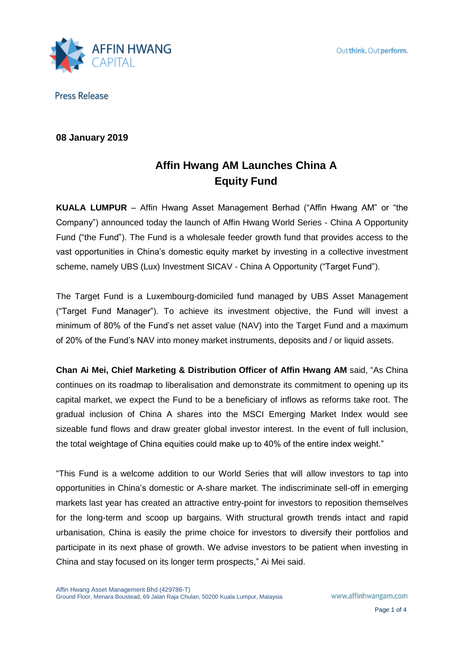

**08 January 2019**

# **Affin Hwang AM Launches China A Equity Fund**

**KUALA LUMPUR** – Affin Hwang Asset Management Berhad ("Affin Hwang AM" or "the Company") announced today the launch of Affin Hwang World Series - China A Opportunity Fund ("the Fund"). The Fund is a wholesale feeder growth fund that provides access to the vast opportunities in China's domestic equity market by investing in a collective investment scheme, namely UBS (Lux) Investment SICAV - China A Opportunity ("Target Fund").

The Target Fund is a Luxembourg-domiciled fund managed by UBS Asset Management ("Target Fund Manager"). To achieve its investment objective, the Fund will invest a minimum of 80% of the Fund's net asset value (NAV) into the Target Fund and a maximum of 20% of the Fund's NAV into money market instruments, deposits and / or liquid assets.

**Chan Ai Mei, Chief Marketing & Distribution Officer of Affin Hwang AM** said, "As China continues on its roadmap to liberalisation and demonstrate its commitment to opening up its capital market, we expect the Fund to be a beneficiary of inflows as reforms take root. The gradual inclusion of China A shares into the MSCI Emerging Market Index would see sizeable fund flows and draw greater global investor interest. In the event of full inclusion, the total weightage of China equities could make up to 40% of the entire index weight."

"This Fund is a welcome addition to our World Series that will allow investors to tap into opportunities in China's domestic or A-share market. The indiscriminate sell-off in emerging markets last year has created an attractive entry-point for investors to reposition themselves for the long-term and scoop up bargains. With structural growth trends intact and rapid urbanisation, China is easily the prime choice for investors to diversify their portfolios and participate in its next phase of growth. We advise investors to be patient when investing in China and stay focused on its longer term prospects," Ai Mei said.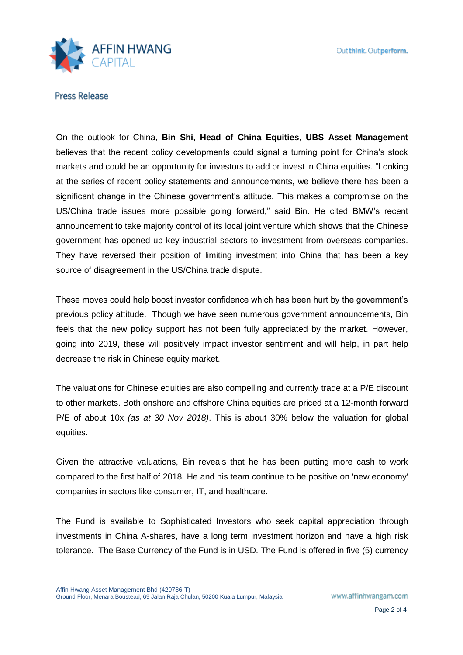

On the outlook for China, **Bin Shi, Head of China Equities, UBS Asset Management** believes that the recent policy developments could signal a turning point for China's stock markets and could be an opportunity for investors to add or invest in China equities. "Looking at the series of recent policy statements and announcements, we believe there has been a significant change in the Chinese government's attitude. This makes a compromise on the US/China trade issues more possible going forward," said Bin. He cited BMW's recent announcement to take majority control of its local joint venture which shows that the Chinese government has opened up key industrial sectors to investment from overseas companies. They have reversed their position of limiting investment into China that has been a key source of disagreement in the US/China trade dispute.

These moves could help boost investor confidence which has been hurt by the government's previous policy attitude. Though we have seen numerous government announcements, Bin feels that the new policy support has not been fully appreciated by the market. However, going into 2019, these will positively impact investor sentiment and will help, in part help decrease the risk in Chinese equity market.

The valuations for Chinese equities are also compelling and currently trade at a P/E discount to other markets. Both onshore and offshore China equities are priced at a 12-month forward P/E of about 10x *(as at 30 Nov 2018)*. This is about 30% below the valuation for global equities.

Given the attractive valuations, Bin reveals that he has been putting more cash to work compared to the first half of 2018. He and his team continue to be positive on 'new economy' companies in sectors like consumer, IT, and healthcare.

The Fund is available to Sophisticated Investors who seek capital appreciation through investments in China A-shares, have a long term investment horizon and have a high risk tolerance. The Base Currency of the Fund is in USD. The Fund is offered in five (5) currency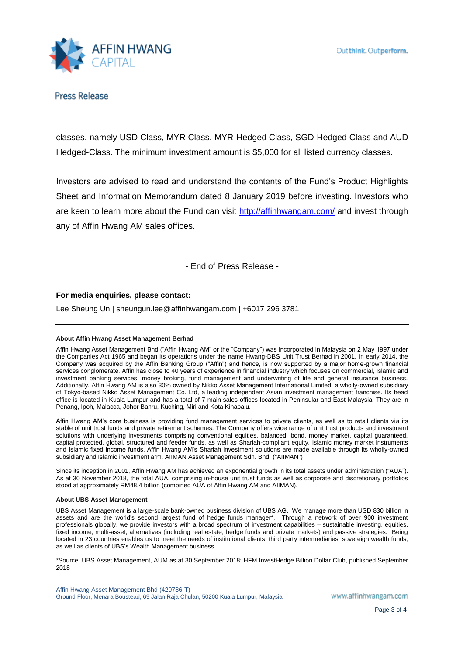

classes, namely USD Class, MYR Class, MYR-Hedged Class, SGD-Hedged Class and AUD Hedged-Class. The minimum investment amount is \$5,000 for all listed currency classes.

Investors are advised to read and understand the contents of the Fund's Product Highlights Sheet and Information Memorandum dated 8 January 2019 before investing. Investors who are keen to learn more about the Fund can visit<http://affinhwangam.com/> and invest through any of Affin Hwang AM sales offices.

- End of Press Release -

## **For media enquiries, please contact:**

Lee Sheung Un | sheungun.lee@affinhwangam.com | +6017 296 3781

### **About Affin Hwang Asset Management Berhad**

Affin Hwang Asset Management Bhd ("Affin Hwang AM" or the "Company") was incorporated in Malaysia on 2 May 1997 under the Companies Act 1965 and began its operations under the name Hwang-DBS Unit Trust Berhad in 2001. In early 2014, the Company was acquired by the Affin Banking Group ("Affin") and hence, is now supported by a major home-grown financial services conglomerate. Affin has close to 40 years of experience in financial industry which focuses on commercial, Islamic and investment banking services, money broking, fund management and underwriting of life and general insurance business. Additionally, Affin Hwang AM is also 30% owned by Nikko Asset Management International Limited, a wholly-owned subsidiary of Tokyo-based Nikko Asset Management Co. Ltd, a leading independent Asian investment management franchise. Its head office is located in Kuala Lumpur and has a total of 7 main sales offices located in Peninsular and East Malaysia. They are in Penang, Ipoh, Malacca, Johor Bahru, Kuching, Miri and Kota Kinabalu.

Affin Hwang AM's core business is providing fund management services to private clients, as well as to retail clients via its stable of unit trust funds and private retirement schemes. The Company offers wide range of unit trust products and investment solutions with underlying investments comprising conventional equities, balanced, bond, money market, capital guaranteed, capital protected, global, structured and feeder funds, as well as Shariah-compliant equity, Islamic money market instruments and Islamic fixed income funds. Affin Hwang AM's Shariah investment solutions are made available through its wholly-owned subsidiary and Islamic investment arm, AIIMAN Asset Management Sdn. Bhd. ("AIIMAN")

Since its inception in 2001, Affin Hwang AM has achieved an exponential growth in its total assets under administration ("AUA"). As at 30 November 2018, the total AUA, comprising in-house unit trust funds as well as corporate and discretionary portfolios stood at approximately RM48.4 billion (combined AUA of Affin Hwang AM and AIIMAN).

### **About UBS Asset Management**

UBS Asset Management is a large-scale bank-owned business division of UBS AG. We manage more than USD 830 billion in assets and are the world's second largest fund of hedge funds manager\*. Through a network of over 900 investment professionals globally, we provide investors with a broad spectrum of investment capabilities – sustainable investing, equities, fixed income, multi-asset, alternatives (including real estate, hedge funds and private markets) and passive strategies. Being located in 23 countries enables us to meet the needs of institutional clients, third party intermediaries, sovereign wealth funds, as well as clients of UBS's Wealth Management business.

\*Source: UBS Asset Management, AUM as at 30 September 2018; HFM InvestHedge Billion Dollar Club, published September 2018